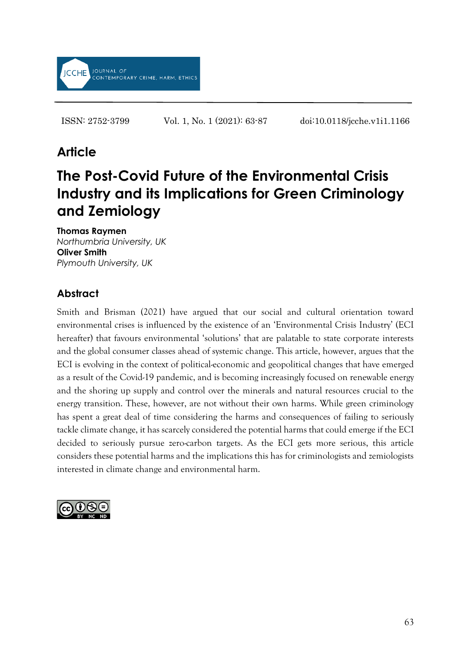

ISSN: 2752-3799 Vol. 1, No. 1 (2021): 63-87 doi:10.0118/jcche.v1i1.1166

# **Article**

# **The Post-Covid Future of the Environmental Crisis Industry and its Implications for Green Criminology and Zemiology**

**Thomas Raymen** *Northumbria University, UK* **Oliver Smith** *Plymouth University, UK*

## **Abstract**

Smith and Brisman (2021) have argued that our social and cultural orientation toward environmental crises is influenced by the existence of an 'Environmental Crisis Industry' (ECI hereafter) that favours environmental 'solutions' that are palatable to state corporate interests and the global consumer classes ahead of systemic change. This article, however, argues that the ECI is evolving in the context of political-economic and geopolitical changes that have emerged as a result of the Covid-19 pandemic, and is becoming increasingly focused on renewable energy and the shoring up supply and control over the minerals and natural resources crucial to the energy transition. These, however, are not without their own harms. While green criminology has spent a great deal of time considering the harms and consequences of failing to seriously tackle climate change, it has scarcely considered the potential harms that could emerge if the ECI decided to seriously pursue zero-carbon targets. As the ECI gets more serious, this article considers these potential harms and the implications this has for criminologists and zemiologists interested in climate change and environmental harm.

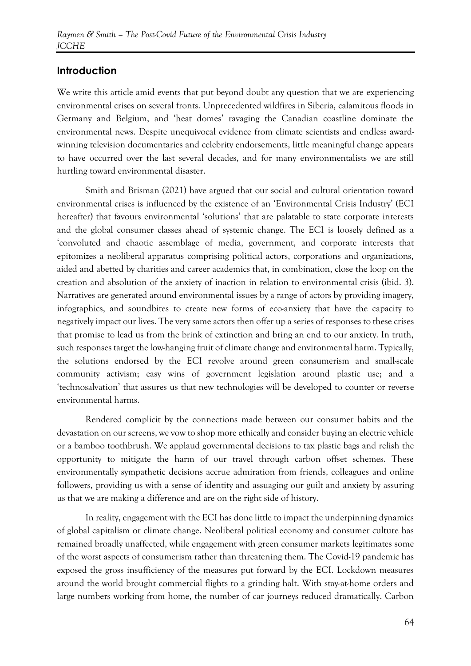## **Introduction**

We write this article amid events that put beyond doubt any question that we are experiencing environmental crises on several fronts. Unprecedented wildfires in Siberia, calamitous floods in Germany and Belgium, and 'heat domes' ravaging the Canadian coastline dominate the environmental news. Despite unequivocal evidence from climate scientists and endless awardwinning television documentaries and celebrity endorsements, little meaningful change appears to have occurred over the last several decades, and for many environmentalists we are still hurtling toward environmental disaster.

Smith and Brisman (2021) have argued that our social and cultural orientation toward environmental crises is influenced by the existence of an 'Environmental Crisis Industry' (ECI hereafter) that favours environmental 'solutions' that are palatable to state corporate interests and the global consumer classes ahead of systemic change. The ECI is loosely defined as a 'convoluted and chaotic assemblage of media, government, and corporate interests that epitomizes a neoliberal apparatus comprising political actors, corporations and organizations, aided and abetted by charities and career academics that, in combination, close the loop on the creation and absolution of the anxiety of inaction in relation to environmental crisis (ibid. 3). Narratives are generated around environmental issues by a range of actors by providing imagery, infographics, and soundbites to create new forms of eco-anxiety that have the capacity to negatively impact our lives. The very same actors then offer up a series of responses to these crises that promise to lead us from the brink of extinction and bring an end to our anxiety. In truth, such responses target the low-hanging fruit of climate change and environmental harm. Typically, the solutions endorsed by the ECI revolve around green consumerism and small-scale community activism; easy wins of government legislation around plastic use; and a 'technosalvation' that assures us that new technologies will be developed to counter or reverse environmental harms.

Rendered complicit by the connections made between our consumer habits and the devastation on our screens, we vow to shop more ethically and consider buying an electric vehicle or a bamboo toothbrush. We applaud governmental decisions to tax plastic bags and relish the opportunity to mitigate the harm of our travel through carbon offset schemes. These environmentally sympathetic decisions accrue admiration from friends, colleagues and online followers, providing us with a sense of identity and assuaging our guilt and anxiety by assuring us that we are making a difference and are on the right side of history.

In reality, engagement with the ECI has done little to impact the underpinning dynamics of global capitalism or climate change. Neoliberal political economy and consumer culture has remained broadly unaffected, while engagement with green consumer markets legitimates some of the worst aspects of consumerism rather than threatening them. The Covid-19 pandemic has exposed the gross insufficiency of the measures put forward by the ECI. Lockdown measures around the world brought commercial flights to a grinding halt. With stay-at-home orders and large numbers working from home, the number of car journeys reduced dramatically. Carbon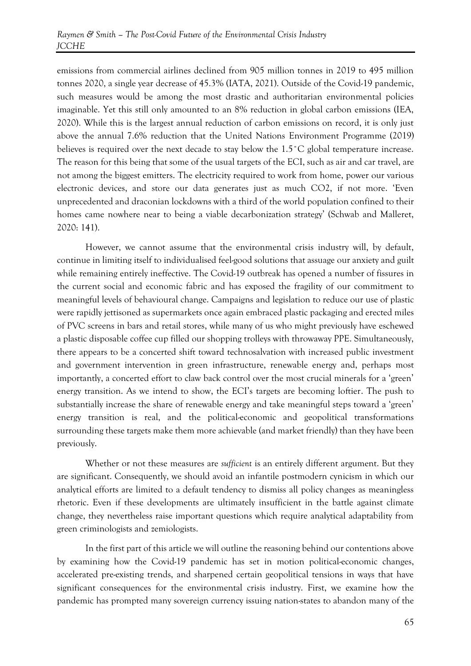emissions from commercial airlines declined from 905 million tonnes in 2019 to 495 million tonnes 2020, a single year decrease of 45.3% (IATA, 2021). Outside of the Covid-19 pandemic, such measures would be among the most drastic and authoritarian environmental policies imaginable. Yet this still only amounted to an 8% reduction in global carbon emissions (IEA, 2020). While this is the largest annual reduction of carbon emissions on record, it is only just above the annual 7.6% reduction that the United Nations Environment Programme (2019) believes is required over the next decade to stay below the 1.5<sup>°</sup>C global temperature increase. The reason for this being that some of the usual targets of the ECI, such as air and car travel, are not among the biggest emitters. The electricity required to work from home, power our various electronic devices, and store our data generates just as much CO2, if not more. 'Even unprecedented and draconian lockdowns with a third of the world population confined to their homes came nowhere near to being a viable decarbonization strategy' (Schwab and Malleret, 2020: 141).

However, we cannot assume that the environmental crisis industry will, by default, continue in limiting itself to individualised feel-good solutions that assuage our anxiety and guilt while remaining entirely ineffective. The Covid-19 outbreak has opened a number of fissures in the current social and economic fabric and has exposed the fragility of our commitment to meaningful levels of behavioural change. Campaigns and legislation to reduce our use of plastic were rapidly jettisoned as supermarkets once again embraced plastic packaging and erected miles of PVC screens in bars and retail stores, while many of us who might previously have eschewed a plastic disposable coffee cup filled our shopping trolleys with throwaway PPE. Simultaneously, there appears to be a concerted shift toward technosalvation with increased public investment and government intervention in green infrastructure, renewable energy and, perhaps most importantly, a concerted effort to claw back control over the most crucial minerals for a 'green' energy transition. As we intend to show, the ECI's targets are becoming loftier. The push to substantially increase the share of renewable energy and take meaningful steps toward a 'green' energy transition is real, and the political-economic and geopolitical transformations surrounding these targets make them more achievable (and market friendly) than they have been previously.

Whether or not these measures are *sufficient* is an entirely different argument. But they are significant. Consequently, we should avoid an infantile postmodern cynicism in which our analytical efforts are limited to a default tendency to dismiss all policy changes as meaningless rhetoric. Even if these developments are ultimately insufficient in the battle against climate change, they nevertheless raise important questions which require analytical adaptability from green criminologists and zemiologists.

In the first part of this article we will outline the reasoning behind our contentions above by examining how the Covid-19 pandemic has set in motion political-economic changes, accelerated pre-existing trends, and sharpened certain geopolitical tensions in ways that have significant consequences for the environmental crisis industry. First, we examine how the pandemic has prompted many sovereign currency issuing nation-states to abandon many of the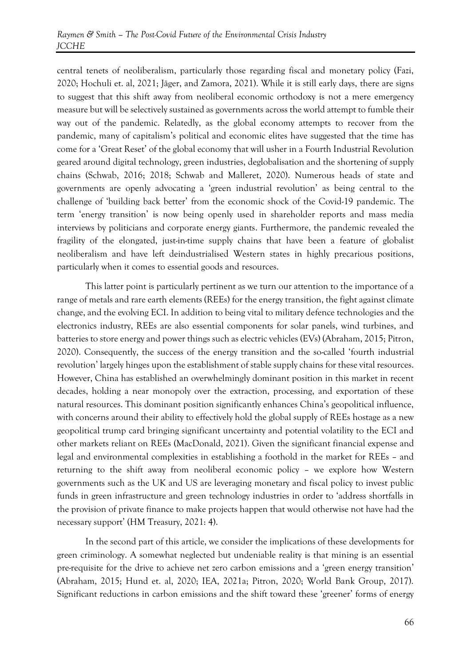central tenets of neoliberalism, particularly those regarding fiscal and monetary policy (Fazi, 2020; Hochuli et. al, 2021; Jäger, and Zamora, 2021). While it is still early days, there are signs to suggest that this shift away from neoliberal economic orthodoxy is not a mere emergency measure but will be selectively sustained as governments across the world attempt to fumble their way out of the pandemic. Relatedly, as the global economy attempts to recover from the pandemic, many of capitalism's political and economic elites have suggested that the time has come for a 'Great Reset' of the global economy that will usher in a Fourth Industrial Revolution geared around digital technology, green industries, deglobalisation and the shortening of supply chains (Schwab, 2016; 2018; Schwab and Malleret, 2020). Numerous heads of state and governments are openly advocating a 'green industrial revolution' as being central to the challenge of 'building back better' from the economic shock of the Covid-19 pandemic. The term 'energy transition' is now being openly used in shareholder reports and mass media interviews by politicians and corporate energy giants. Furthermore, the pandemic revealed the fragility of the elongated, just-in-time supply chains that have been a feature of globalist neoliberalism and have left deindustrialised Western states in highly precarious positions, particularly when it comes to essential goods and resources.

This latter point is particularly pertinent as we turn our attention to the importance of a range of metals and rare earth elements (REEs) for the energy transition, the fight against climate change, and the evolving ECI. In addition to being vital to military defence technologies and the electronics industry, REEs are also essential components for solar panels, wind turbines, and batteries to store energy and power things such as electric vehicles (EVs) (Abraham, 2015; Pitron, 2020). Consequently, the success of the energy transition and the so-called 'fourth industrial revolution' largely hinges upon the establishment of stable supply chains for these vital resources. However, China has established an overwhelmingly dominant position in this market in recent decades, holding a near monopoly over the extraction, processing, and exportation of these natural resources. This dominant position significantly enhances China's geopolitical influence, with concerns around their ability to effectively hold the global supply of REEs hostage as a new geopolitical trump card bringing significant uncertainty and potential volatility to the ECI and other markets reliant on REEs (MacDonald, 2021). Given the significant financial expense and legal and environmental complexities in establishing a foothold in the market for REEs – and returning to the shift away from neoliberal economic policy – we explore how Western governments such as the UK and US are leveraging monetary and fiscal policy to invest public funds in green infrastructure and green technology industries in order to 'address shortfalls in the provision of private finance to make projects happen that would otherwise not have had the necessary support' (HM Treasury, 2021: 4).

In the second part of this article, we consider the implications of these developments for green criminology. A somewhat neglected but undeniable reality is that mining is an essential pre-requisite for the drive to achieve net zero carbon emissions and a 'green energy transition' (Abraham, 2015; Hund et. al, 2020; IEA, 2021a; Pitron, 2020; World Bank Group, 2017). Significant reductions in carbon emissions and the shift toward these 'greener' forms of energy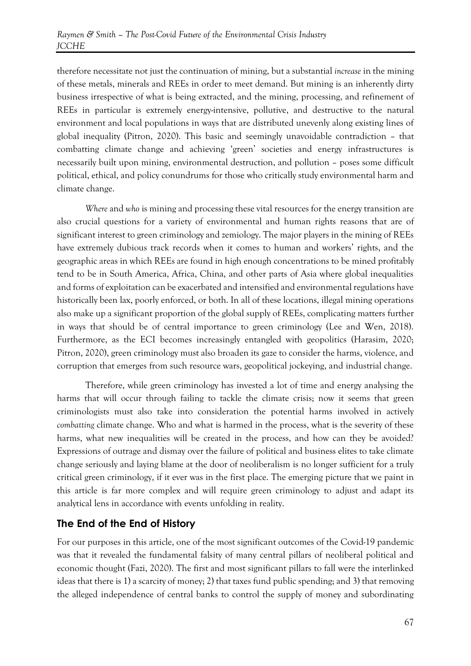therefore necessitate not just the continuation of mining, but a substantial *increase* in the mining of these metals, minerals and REEs in order to meet demand. But mining is an inherently dirty business irrespective of what is being extracted, and the mining, processing, and refinement of REEs in particular is extremely energy-intensive, pollutive, and destructive to the natural environment and local populations in ways that are distributed unevenly along existing lines of global inequality (Pitron, 2020). This basic and seemingly unavoidable contradiction – that combatting climate change and achieving 'green' societies and energy infrastructures is necessarily built upon mining, environmental destruction, and pollution – poses some difficult political, ethical, and policy conundrums for those who critically study environmental harm and climate change.

*Where* and *who* is mining and processing these vital resources for the energy transition are also crucial questions for a variety of environmental and human rights reasons that are of significant interest to green criminology and zemiology. The major players in the mining of REEs have extremely dubious track records when it comes to human and workers' rights, and the geographic areas in which REEs are found in high enough concentrations to be mined profitably tend to be in South America, Africa, China, and other parts of Asia where global inequalities and forms of exploitation can be exacerbated and intensified and environmental regulations have historically been lax, poorly enforced, or both. In all of these locations, illegal mining operations also make up a significant proportion of the global supply of REEs, complicating matters further in ways that should be of central importance to green criminology (Lee and Wen, 2018). Furthermore, as the ECI becomes increasingly entangled with geopolitics (Harasim, 2020; Pitron, 2020), green criminology must also broaden its gaze to consider the harms, violence, and corruption that emerges from such resource wars, geopolitical jockeying, and industrial change.

Therefore, while green criminology has invested a lot of time and energy analysing the harms that will occur through failing to tackle the climate crisis; now it seems that green criminologists must also take into consideration the potential harms involved in actively *combatting* climate change. Who and what is harmed in the process, what is the severity of these harms, what new inequalities will be created in the process, and how can they be avoided? Expressions of outrage and dismay over the failure of political and business elites to take climate change seriously and laying blame at the door of neoliberalism is no longer sufficient for a truly critical green criminology, if it ever was in the first place. The emerging picture that we paint in this article is far more complex and will require green criminology to adjust and adapt its analytical lens in accordance with events unfolding in reality.

## **The End of the End of History**

For our purposes in this article, one of the most significant outcomes of the Covid-19 pandemic was that it revealed the fundamental falsity of many central pillars of neoliberal political and economic thought (Fazi, 2020). The first and most significant pillars to fall were the interlinked ideas that there is 1) a scarcity of money; 2) that taxes fund public spending; and 3) that removing the alleged independence of central banks to control the supply of money and subordinating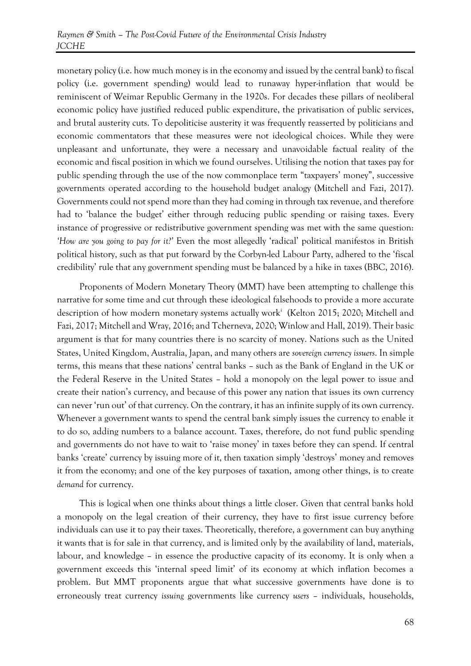monetary policy (i.e. how much money is in the economy and issued by the central bank) to fiscal policy (i.e. government spending) would lead to runaway hyper-inflation that would be reminiscent of Weimar Republic Germany in the 1920s. For decades these pillars of neoliberal economic policy have justified reduced public expenditure, the privatisation of public services, and brutal austerity cuts. To depoliticise austerity it was frequently reasserted by politicians and economic commentators that these measures were not ideological choices. While they were unpleasant and unfortunate, they were a necessary and unavoidable factual reality of the economic and fiscal position in which we found ourselves. Utilising the notion that taxes pay for public spending through the use of the now commonplace term "taxpayers' money", successive governments operated according to the household budget analogy (Mitchell and Fazi, 2017). Governments could not spend more than they had coming in through tax revenue, and therefore had to 'balance the budget' either through reducing public spending or raising taxes. Every instance of progressive or redistributive government spending was met with the same question: *'How are you going to pay for it?'* Even the most allegedly 'radical' political manifestos in British political history, such as that put forward by the Corbyn-led Labour Party, adhered to the 'fiscal credibility' rule that any government spending must be balanced by a hike in taxes (BBC, 2016).

Proponents of Modern Monetary Theory (MMT) have been attempting to challenge this narrative for some time and cut through these ideological falsehoods to provide a more accurate description of how modern monetary systems actually work<sup>i</sup> (Kelton 2015; 2020; Mitchell and Fazi, 2017; Mitchell and Wray, 2016; and Tcherneva, 2020; Winlow and Hall, 2019). Their basic argument is that for many countries there is no scarcity of money. Nations such as the United States, United Kingdom, Australia, Japan, and many others are *sovereign currency issuers*. In simple terms, this means that these nations' central banks – such as the Bank of England in the UK or the Federal Reserve in the United States – hold a monopoly on the legal power to issue and create their nation's currency, and because of this power any nation that issues its own currency can never 'run out' of that currency. On the contrary, it has an infinite supply of its own currency. Whenever a government wants to spend the central bank simply issues the currency to enable it to do so, adding numbers to a balance account. Taxes, therefore, do not fund public spending and governments do not have to wait to 'raise money' in taxes before they can spend. If central banks 'create' currency by issuing more of it, then taxation simply 'destroys' money and removes it from the economy; and one of the key purposes of taxation, among other things, is to create *demand* for currency.

This is logical when one thinks about things a little closer. Given that central banks hold a monopoly on the legal creation of their currency, they have to first issue currency before individuals can use it to pay their taxes. Theoretically, therefore, a government can buy anything it wants that is for sale in that currency, and is limited only by the availability of land, materials, labour, and knowledge – in essence the productive capacity of its economy. It is only when a government exceeds this 'internal speed limit' of its economy at which inflation becomes a problem. But MMT proponents argue that what successive governments have done is to erroneously treat currency *issuing* governments like currency *users* – individuals, households,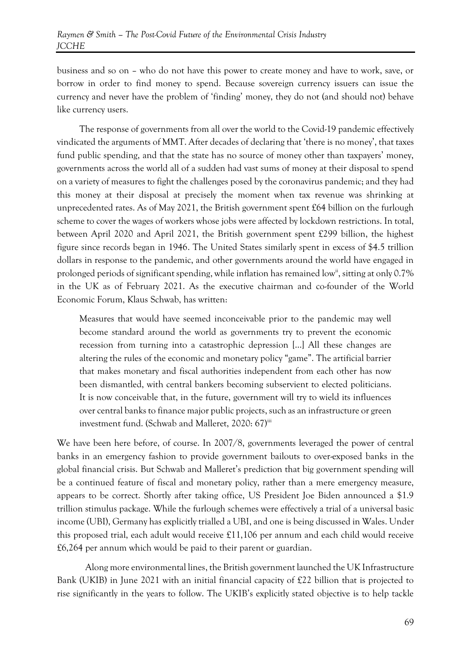business and so on – who do not have this power to create money and have to work, save, or borrow in order to find money to spend. Because sovereign currency issuers can issue the currency and never have the problem of 'finding' money, they do not (and should not) behave like currency users.

The response of governments from all over the world to the Covid-19 pandemic effectively vindicated the arguments of MMT. After decades of declaring that 'there is no money', that taxes fund public spending, and that the state has no source of money other than taxpayers' money, governments across the world all of a sudden had vast sums of money at their disposal to spend on a variety of measures to fight the challenges posed by the coronavirus pandemic; and they had this money at their disposal at precisely the moment when tax revenue was shrinking at unprecedented rates. As of May 2021, the British government spent  $£64$  billion on the furlough scheme to cover the wages of workers whose jobs were affected by lockdown restrictions. In total, between April 2020 and April 2021, the British government spent £299 billion, the highest figure since records began in 1946. The United States similarly spent in excess of \$4.5 trillion dollars in response to the pandemic, and other governments around the world have engaged in prolonged periods of significant spending, while inflation has remained low<sup>ii</sup>, sitting at only 0.7% in the UK as of February 2021. As the executive chairman and co-founder of the World Economic Forum, Klaus Schwab, has written:

Measures that would have seemed inconceivable prior to the pandemic may well become standard around the world as governments try to prevent the economic recession from turning into a catastrophic depression […] All these changes are altering the rules of the economic and monetary policy "game". The artificial barrier that makes monetary and fiscal authorities independent from each other has now been dismantled, with central bankers becoming subservient to elected politicians. It is now conceivable that, in the future, government will try to wield its influences over central banks to finance major public projects, such as an infrastructure or green investment fund. (Schwab and Malleret, 2020: 67)<sup>iii</sup>

We have been here before, of course. In 2007/8, governments leveraged the power of central banks in an emergency fashion to provide government bailouts to over-exposed banks in the global financial crisis. But Schwab and Malleret's prediction that big government spending will be a continued feature of fiscal and monetary policy, rather than a mere emergency measure, appears to be correct. Shortly after taking office, US President Joe Biden announced a \$1.9 trillion stimulus package. While the furlough schemes were effectively a trial of a universal basic income (UBI), Germany has explicitly trialled a UBI, and one is being discussed in Wales. Under this proposed trial, each adult would receive £11,106 per annum and each child would receive £6,264 per annum which would be paid to their parent or guardian.

Along more environmental lines, the British government launched the UK Infrastructure Bank (UKIB) in June 2021 with an initial financial capacity of £22 billion that is projected to rise significantly in the years to follow. The UKIB's explicitly stated objective is to help tackle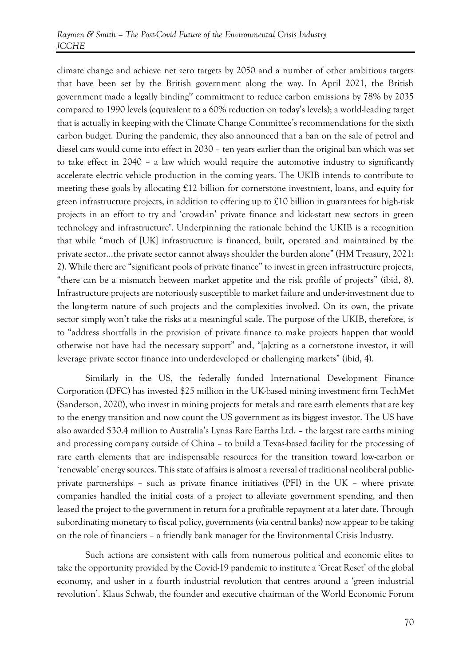climate change and achieve net zero targets by 2050 and a number of other ambitious targets that have been set by the British government along the way. In April 2021, the British government made a legally bindingiv commitment to reduce carbon emissions by 78% by 2035 compared to 1990 levels (equivalent to a 60% reduction on today's levels); a world-leading target that is actually in keeping with the Climate Change Committee's recommendations for the sixth carbon budget. During the pandemic, they also announced that a ban on the sale of petrol and diesel cars would come into effect in 2030 – ten years earlier than the original ban which was set to take effect in 2040 – a law which would require the automotive industry to significantly accelerate electric vehicle production in the coming years. The UKIB intends to contribute to meeting these goals by allocating £12 billion for cornerstone investment, loans, and equity for green infrastructure projects, in addition to offering up to £10 billion in guarantees for high-risk projects in an effort to try and 'crowd-in' private finance and kick-start new sectors in green technology and infrastructure<sup>v</sup>. Underpinning the rationale behind the UKIB is a recognition that while "much of [UK] infrastructure is financed, built, operated and maintained by the private sector…the private sector cannot always shoulder the burden alone" (HM Treasury, 2021: 2). While there are "significant pools of private finance" to invest in green infrastructure projects, "there can be a mismatch between market appetite and the risk profile of projects" (ibid, 8). Infrastructure projects are notoriously susceptible to market failure and under-investment due to the long-term nature of such projects and the complexities involved. On its own, the private sector simply won't take the risks at a meaningful scale. The purpose of the UKIB, therefore, is to "address shortfalls in the provision of private finance to make projects happen that would otherwise not have had the necessary support" and, "[a]cting as a cornerstone investor, it will leverage private sector finance into underdeveloped or challenging markets" (ibid, 4).

Similarly in the US, the federally funded International Development Finance Corporation (DFC) has invested \$25 million in the UK-based mining investment firm TechMet (Sanderson, 2020), who invest in mining projects for metals and rare earth elements that are key to the energy transition and now count the US government as its biggest investor. The US have also awarded \$30.4 million to Australia's Lynas Rare Earths Ltd. – the largest rare earths mining and processing company outside of China – to build a Texas-based facility for the processing of rare earth elements that are indispensable resources for the transition toward low-carbon or 'renewable' energy sources. This state of affairs is almost a reversal of traditional neoliberal publicprivate partnerships – such as private finance initiatives (PFI) in the UK – where private companies handled the initial costs of a project to alleviate government spending, and then leased the project to the government in return for a profitable repayment at a later date. Through subordinating monetary to fiscal policy, governments (via central banks) now appear to be taking on the role of financiers – a friendly bank manager for the Environmental Crisis Industry.

Such actions are consistent with calls from numerous political and economic elites to take the opportunity provided by the Covid-19 pandemic to institute a 'Great Reset' of the global economy, and usher in a fourth industrial revolution that centres around a 'green industrial revolution'. Klaus Schwab, the founder and executive chairman of the World Economic Forum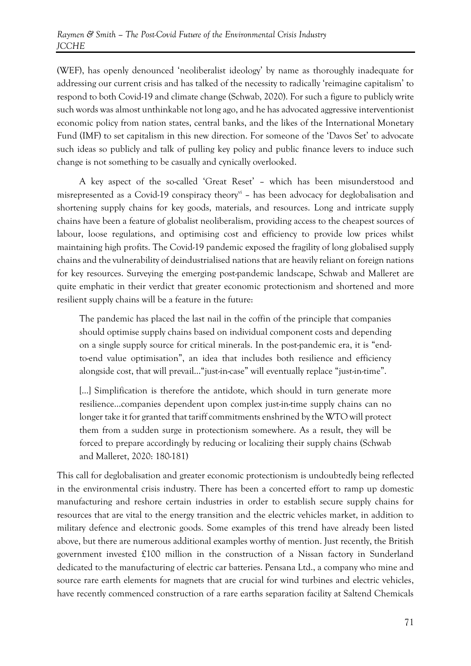(WEF), has openly denounced 'neoliberalist ideology' by name as thoroughly inadequate for addressing our current crisis and has talked of the necessity to radically 'reimagine capitalism' to respond to both Covid-19 and climate change (Schwab, 2020). For such a figure to publicly write such words was almost unthinkable not long ago, and he has advocated aggressive interventionist economic policy from nation states, central banks, and the likes of the International Monetary Fund (IMF) to set capitalism in this new direction. For someone of the 'Davos Set' to advocate such ideas so publicly and talk of pulling key policy and public finance levers to induce such change is not something to be casually and cynically overlooked.

A key aspect of the so-called 'Great Reset' – which has been misunderstood and misrepresented as a Covid-19 conspiracy theory<sup>vi</sup> - has been advocacy for deglobalisation and shortening supply chains for key goods, materials, and resources. Long and intricate supply chains have been a feature of globalist neoliberalism, providing access to the cheapest sources of labour, loose regulations, and optimising cost and efficiency to provide low prices whilst maintaining high profits. The Covid-19 pandemic exposed the fragility of long globalised supply chains and the vulnerability of deindustrialised nations that are heavily reliant on foreign nations for key resources. Surveying the emerging post-pandemic landscape, Schwab and Malleret are quite emphatic in their verdict that greater economic protectionism and shortened and more resilient supply chains will be a feature in the future:

The pandemic has placed the last nail in the coffin of the principle that companies should optimise supply chains based on individual component costs and depending on a single supply source for critical minerals. In the post-pandemic era, it is "endto-end value optimisation", an idea that includes both resilience and efficiency alongside cost, that will prevail…"just-in-case" will eventually replace "just-in-time".

[...] Simplification is therefore the antidote, which should in turn generate more resilience…companies dependent upon complex just-in-time supply chains can no longer take it for granted that tariff commitments enshrined by the WTO will protect them from a sudden surge in protectionism somewhere. As a result, they will be forced to prepare accordingly by reducing or localizing their supply chains (Schwab and Malleret, 2020: 180-181)

This call for deglobalisation and greater economic protectionism is undoubtedly being reflected in the environmental crisis industry. There has been a concerted effort to ramp up domestic manufacturing and reshore certain industries in order to establish secure supply chains for resources that are vital to the energy transition and the electric vehicles market, in addition to military defence and electronic goods. Some examples of this trend have already been listed above, but there are numerous additional examples worthy of mention. Just recently, the British government invested £100 million in the construction of a Nissan factory in Sunderland dedicated to the manufacturing of electric car batteries. Pensana Ltd., a company who mine and source rare earth elements for magnets that are crucial for wind turbines and electric vehicles, have recently commenced construction of a rare earths separation facility at Saltend Chemicals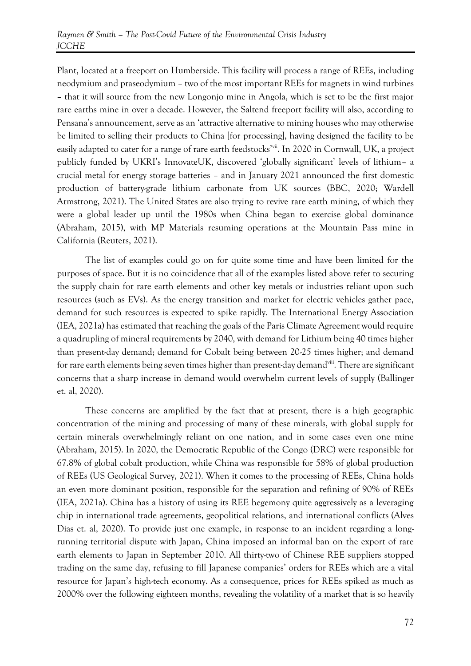Plant, located at a freeport on Humberside. This facility will process a range of REEs, including neodymium and praseodymium – two of the most important REEs for magnets in wind turbines – that it will source from the new Longonjo mine in Angola, which is set to be the first major rare earths mine in over a decade. However, the Saltend freeport facility will also, according to Pensana's announcement, serve as an 'attractive alternative to mining houses who may otherwise be limited to selling their products to China [for processing], having designed the facility to be easily adapted to cater for a range of rare earth feedstocks<sup>'vii</sup>. In 2020 in Cornwall, UK, a project publicly funded by UKRI's InnovateUK, discovered 'globally significant' levels of lithium– a crucial metal for energy storage batteries – and in January 2021 announced the first domestic production of battery-grade lithium carbonate from UK sources (BBC, 2020; Wardell Armstrong, 2021). The United States are also trying to revive rare earth mining, of which they were a global leader up until the 1980s when China began to exercise global dominance (Abraham, 2015), with MP Materials resuming operations at the Mountain Pass mine in California (Reuters, 2021).

The list of examples could go on for quite some time and have been limited for the purposes of space. But it is no coincidence that all of the examples listed above refer to securing the supply chain for rare earth elements and other key metals or industries reliant upon such resources (such as EVs). As the energy transition and market for electric vehicles gather pace, demand for such resources is expected to spike rapidly. The International Energy Association (IEA, 2021a) has estimated that reaching the goals of the Paris Climate Agreement would require a quadrupling of mineral requirements by 2040, with demand for Lithium being 40 times higher than present-day demand; demand for Cobalt being between 20-25 times higher; and demand for rare earth elements being seven times higher than present-day demand<sup>viii</sup>. There are significant concerns that a sharp increase in demand would overwhelm current levels of supply (Ballinger et. al, 2020).

These concerns are amplified by the fact that at present, there is a high geographic concentration of the mining and processing of many of these minerals, with global supply for certain minerals overwhelmingly reliant on one nation, and in some cases even one mine (Abraham, 2015). In 2020, the Democratic Republic of the Congo (DRC) were responsible for 67.8% of global cobalt production, while China was responsible for 58% of global production of REEs (US Geological Survey, 2021). When it comes to the processing of REEs, China holds an even more dominant position, responsible for the separation and refining of 90% of REEs (IEA, 2021a). China has a history of using its REE hegemony quite aggressively as a leveraging chip in international trade agreements, geopolitical relations, and international conflicts (Alves Dias et. al, 2020). To provide just one example, in response to an incident regarding a longrunning territorial dispute with Japan, China imposed an informal ban on the export of rare earth elements to Japan in September 2010. All thirty-two of Chinese REE suppliers stopped trading on the same day, refusing to fill Japanese companies' orders for REEs which are a vital resource for Japan's high-tech economy. As a consequence, prices for REEs spiked as much as 2000% over the following eighteen months, revealing the volatility of a market that is so heavily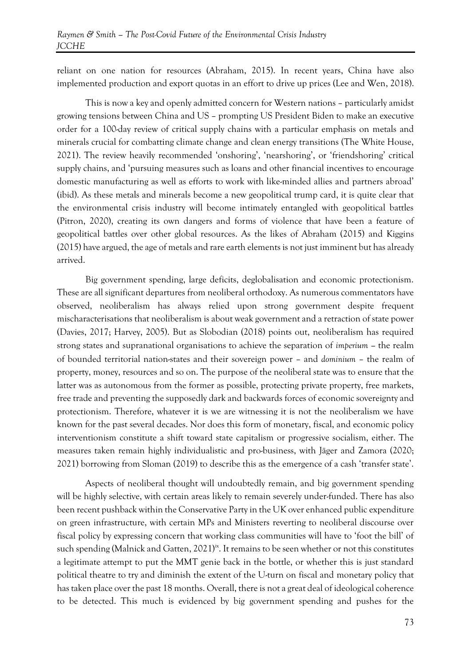reliant on one nation for resources (Abraham, 2015). In recent years, China have also implemented production and export quotas in an effort to drive up prices (Lee and Wen, 2018).

This is now a key and openly admitted concern for Western nations – particularly amidst growing tensions between China and US – prompting US President Biden to make an executive order for a 100-day review of critical supply chains with a particular emphasis on metals and minerals crucial for combatting climate change and clean energy transitions (The White House, 2021). The review heavily recommended 'onshoring', 'nearshoring', or 'friendshoring' critical supply chains, and 'pursuing measures such as loans and other financial incentives to encourage domestic manufacturing as well as efforts to work with like-minded allies and partners abroad' (ibid). As these metals and minerals become a new geopolitical trump card, it is quite clear that the environmental crisis industry will become intimately entangled with geopolitical battles (Pitron, 2020), creating its own dangers and forms of violence that have been a feature of geopolitical battles over other global resources. As the likes of Abraham (2015) and Kiggins (2015) have argued, the age of metals and rare earth elements is not just imminent but has already arrived.

Big government spending, large deficits, deglobalisation and economic protectionism. These are all significant departures from neoliberal orthodoxy. As numerous commentators have observed, neoliberalism has always relied upon strong government despite frequent mischaracterisations that neoliberalism is about weak government and a retraction of state power (Davies, 2017; Harvey, 2005). But as Slobodian (2018) points out, neoliberalism has required strong states and supranational organisations to achieve the separation of *imperium –* the realm of bounded territorial nation-states and their sovereign power – and *dominium* – the realm of property, money, resources and so on. The purpose of the neoliberal state was to ensure that the latter was as autonomous from the former as possible, protecting private property, free markets, free trade and preventing the supposedly dark and backwards forces of economic sovereignty and protectionism. Therefore, whatever it is we are witnessing it is not the neoliberalism we have known for the past several decades. Nor does this form of monetary, fiscal, and economic policy interventionism constitute a shift toward state capitalism or progressive socialism, either. The measures taken remain highly individualistic and pro-business, with Jäger and Zamora (2020; 2021) borrowing from Sloman (2019) to describe this as the emergence of a cash 'transfer state'.

Aspects of neoliberal thought will undoubtedly remain, and big government spending will be highly selective, with certain areas likely to remain severely under-funded. There has also been recent pushback within the Conservative Party in the UK over enhanced public expenditure on green infrastructure, with certain MPs and Ministers reverting to neoliberal discourse over fiscal policy by expressing concern that working class communities will have to 'foot the bill' of such spending (Malnick and Gatten, 2021)<sup>ix</sup>. It remains to be seen whether or not this constitutes a legitimate attempt to put the MMT genie back in the bottle, or whether this is just standard political theatre to try and diminish the extent of the U-turn on fiscal and monetary policy that has taken place over the past 18 months. Overall, there is not a great deal of ideological coherence to be detected. This much is evidenced by big government spending and pushes for the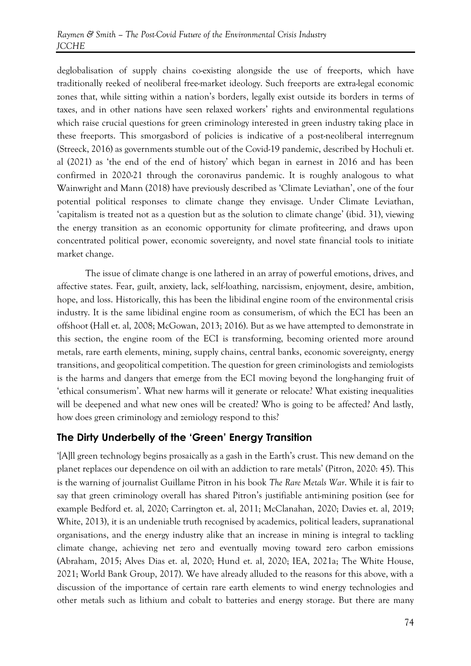deglobalisation of supply chains co-existing alongside the use of freeports, which have traditionally reeked of neoliberal free-market ideology. Such freeports are extra-legal economic zones that, while sitting within a nation's borders, legally exist outside its borders in terms of taxes, and in other nations have seen relaxed workers' rights and environmental regulations which raise crucial questions for green criminology interested in green industry taking place in these freeports. This smorgasbord of policies is indicative of a post-neoliberal interregnum (Streeck, 2016) as governments stumble out of the Covid-19 pandemic, described by Hochuli et. al (2021) as 'the end of the end of history' which began in earnest in 2016 and has been confirmed in 2020-21 through the coronavirus pandemic. It is roughly analogous to what Wainwright and Mann (2018) have previously described as 'Climate Leviathan', one of the four potential political responses to climate change they envisage. Under Climate Leviathan, 'capitalism is treated not as a question but as the solution to climate change' (ibid. 31), viewing the energy transition as an economic opportunity for climate profiteering, and draws upon concentrated political power, economic sovereignty, and novel state financial tools to initiate market change.

The issue of climate change is one lathered in an array of powerful emotions, drives, and affective states. Fear, guilt, anxiety, lack, self-loathing, narcissism, enjoyment, desire, ambition, hope, and loss. Historically, this has been the libidinal engine room of the environmental crisis industry. It is the same libidinal engine room as consumerism, of which the ECI has been an offshoot (Hall et. al, 2008; McGowan, 2013; 2016). But as we have attempted to demonstrate in this section, the engine room of the ECI is transforming, becoming oriented more around metals, rare earth elements, mining, supply chains, central banks, economic sovereignty, energy transitions, and geopolitical competition. The question for green criminologists and zemiologists is the harms and dangers that emerge from the ECI moving beyond the long-hanging fruit of 'ethical consumerism'. What new harms will it generate or relocate? What existing inequalities will be deepened and what new ones will be created? Who is going to be affected? And lastly, how does green criminology and zemiology respond to this?

#### **The Dirty Underbelly of the 'Green' Energy Transition**

'[A]ll green technology begins prosaically as a gash in the Earth's crust. This new demand on the planet replaces our dependence on oil with an addiction to rare metals' (Pitron, 2020: 45). This is the warning of journalist Guillame Pitron in his book *The Rare Metals War*. While it is fair to say that green criminology overall has shared Pitron's justifiable anti-mining position (see for example Bedford et. al, 2020; Carrington et. al, 2011; McClanahan, 2020; Davies et. al, 2019; White, 2013), it is an undeniable truth recognised by academics, political leaders, supranational organisations, and the energy industry alike that an increase in mining is integral to tackling climate change, achieving net zero and eventually moving toward zero carbon emissions (Abraham, 2015; Alves Dias et. al, 2020; Hund et. al, 2020; IEA, 2021a; The White House, 2021; World Bank Group, 2017). We have already alluded to the reasons for this above, with a discussion of the importance of certain rare earth elements to wind energy technologies and other metals such as lithium and cobalt to batteries and energy storage. But there are many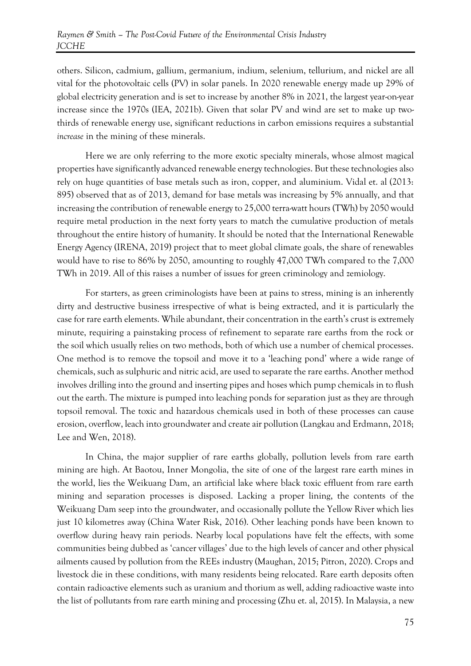others. Silicon, cadmium, gallium, germanium, indium, selenium, tellurium, and nickel are all vital for the photovoltaic cells (PV) in solar panels. In 2020 renewable energy made up 29% of global electricity generation and is set to increase by another 8% in 2021, the largest year-on-year increase since the 1970s (IEA, 2021b). Given that solar PV and wind are set to make up twothirds of renewable energy use, significant reductions in carbon emissions requires a substantial *increase* in the mining of these minerals.

Here we are only referring to the more exotic specialty minerals, whose almost magical properties have significantly advanced renewable energy technologies. But these technologies also rely on huge quantities of base metals such as iron, copper, and aluminium. Vidal et. al (2013: 895) observed that as of 2013, demand for base metals was increasing by 5% annually, and that increasing the contribution of renewable energy to 25,000 terra-watt hours (TWh) by 2050 would require metal production in the next forty years to match the cumulative production of metals throughout the entire history of humanity. It should be noted that the International Renewable Energy Agency (IRENA, 2019) project that to meet global climate goals, the share of renewables would have to rise to 86% by 2050, amounting to roughly 47,000 TWh compared to the 7,000 TWh in 2019. All of this raises a number of issues for green criminology and zemiology.

For starters, as green criminologists have been at pains to stress, mining is an inherently dirty and destructive business irrespective of what is being extracted, and it is particularly the case for rare earth elements. While abundant, their concentration in the earth's crust is extremely minute, requiring a painstaking process of refinement to separate rare earths from the rock or the soil which usually relies on two methods, both of which use a number of chemical processes. One method is to remove the topsoil and move it to a 'leaching pond' where a wide range of chemicals, such as sulphuric and nitric acid, are used to separate the rare earths. Another method involves drilling into the ground and inserting pipes and hoses which pump chemicals in to flush out the earth. The mixture is pumped into leaching ponds for separation just as they are through topsoil removal. The toxic and hazardous chemicals used in both of these processes can cause erosion, overflow, leach into groundwater and create air pollution (Langkau and Erdmann, 2018; Lee and Wen, 2018).

In China, the major supplier of rare earths globally, pollution levels from rare earth mining are high. At Baotou, Inner Mongolia, the site of one of the largest rare earth mines in the world, lies the Weikuang Dam, an artificial lake where black toxic effluent from rare earth mining and separation processes is disposed. Lacking a proper lining, the contents of the Weikuang Dam seep into the groundwater, and occasionally pollute the Yellow River which lies just 10 kilometres away (China Water Risk, 2016). Other leaching ponds have been known to overflow during heavy rain periods. Nearby local populations have felt the effects, with some communities being dubbed as 'cancer villages' due to the high levels of cancer and other physical ailments caused by pollution from the REEs industry (Maughan, 2015; Pitron, 2020). Crops and livestock die in these conditions, with many residents being relocated. Rare earth deposits often contain radioactive elements such as uranium and thorium as well, adding radioactive waste into the list of pollutants from rare earth mining and processing (Zhu et. al, 2015). In Malaysia, a new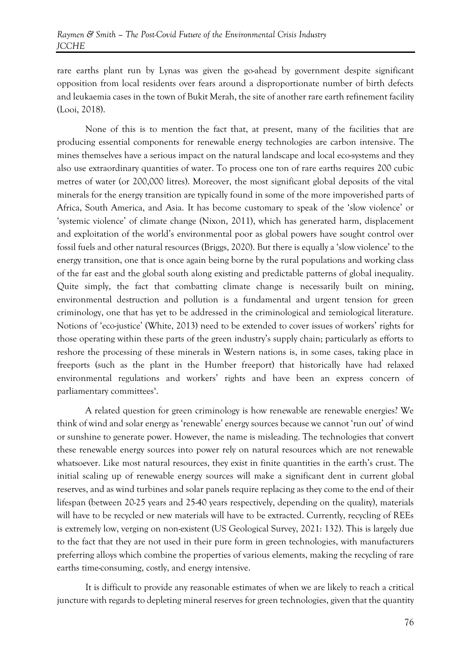rare earths plant run by Lynas was given the go-ahead by government despite significant opposition from local residents over fears around a disproportionate number of birth defects and leukaemia cases in the town of Bukit Merah, the site of another rare earth refinement facility (Looi, 2018).

None of this is to mention the fact that, at present, many of the facilities that are producing essential components for renewable energy technologies are carbon intensive. The mines themselves have a serious impact on the natural landscape and local eco-systems and they also use extraordinary quantities of water. To process one ton of rare earths requires 200 cubic metres of water (or 200,000 litres). Moreover, the most significant global deposits of the vital minerals for the energy transition are typically found in some of the more impoverished parts of Africa, South America, and Asia. It has become customary to speak of the 'slow violence' or 'systemic violence' of climate change (Nixon, 2011), which has generated harm, displacement and exploitation of the world's environmental poor as global powers have sought control over fossil fuels and other natural resources (Briggs, 2020). But there is equally a 'slow violence' to the energy transition, one that is once again being borne by the rural populations and working class of the far east and the global south along existing and predictable patterns of global inequality. Quite simply, the fact that combatting climate change is necessarily built on mining, environmental destruction and pollution is a fundamental and urgent tension for green criminology, one that has yet to be addressed in the criminological and zemiological literature. Notions of 'eco-justice' (White, 2013) need to be extended to cover issues of workers' rights for those operating within these parts of the green industry's supply chain; particularly as efforts to reshore the processing of these minerals in Western nations is, in some cases, taking place in freeports (such as the plant in the Humber freeport) that historically have had relaxed environmental regulations and workers' rights and have been an express concern of parliamentary committees<sup>x</sup>.

A related question for green criminology is how renewable are renewable energies? We think of wind and solar energy as 'renewable' energy sources because we cannot 'run out' of wind or sunshine to generate power. However, the name is misleading. The technologies that convert these renewable energy sources into power rely on natural resources which are not renewable whatsoever. Like most natural resources, they exist in finite quantities in the earth's crust. The initial scaling up of renewable energy sources will make a significant dent in current global reserves, and as wind turbines and solar panels require replacing as they come to the end of their lifespan (between 20-25 years and 25-40 years respectively, depending on the quality), materials will have to be recycled or new materials will have to be extracted. Currently, recycling of REEs is extremely low, verging on non-existent (US Geological Survey, 2021: 132). This is largely due to the fact that they are not used in their pure form in green technologies, with manufacturers preferring alloys which combine the properties of various elements, making the recycling of rare earths time-consuming, costly, and energy intensive.

It is difficult to provide any reasonable estimates of when we are likely to reach a critical juncture with regards to depleting mineral reserves for green technologies, given that the quantity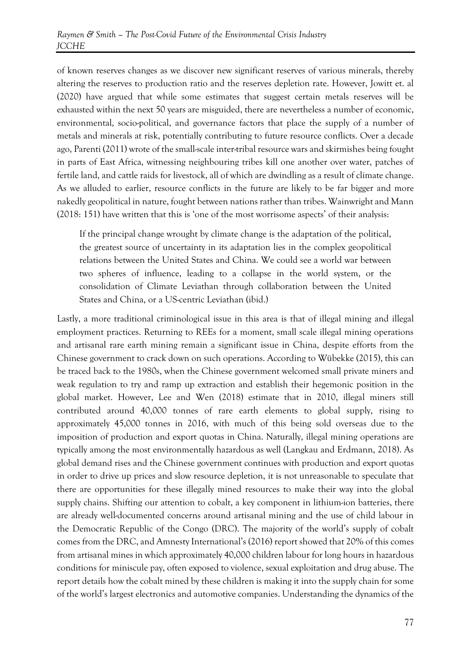of known reserves changes as we discover new significant reserves of various minerals, thereby altering the reserves to production ratio and the reserves depletion rate. However, Jowitt et. al (2020) have argued that while some estimates that suggest certain metals reserves will be exhausted within the next 50 years are misguided, there are nevertheless a number of economic, environmental, socio-political, and governance factors that place the supply of a number of metals and minerals at risk, potentially contributing to future resource conflicts. Over a decade ago, Parenti (2011) wrote of the small-scale inter-tribal resource wars and skirmishes being fought in parts of East Africa, witnessing neighbouring tribes kill one another over water, patches of fertile land, and cattle raids for livestock, all of which are dwindling as a result of climate change. As we alluded to earlier, resource conflicts in the future are likely to be far bigger and more nakedly geopolitical in nature, fought between nations rather than tribes. Wainwright and Mann (2018: 151) have written that this is 'one of the most worrisome aspects' of their analysis:

If the principal change wrought by climate change is the adaptation of the political, the greatest source of uncertainty in its adaptation lies in the complex geopolitical relations between the United States and China. We could see a world war between two spheres of influence, leading to a collapse in the world system, or the consolidation of Climate Leviathan through collaboration between the United States and China, or a US-centric Leviathan (ibid.)

Lastly, a more traditional criminological issue in this area is that of illegal mining and illegal employment practices. Returning to REEs for a moment, small scale illegal mining operations and artisanal rare earth mining remain a significant issue in China, despite efforts from the Chinese government to crack down on such operations. According to Wübekke (2015), this can be traced back to the 1980s, when the Chinese government welcomed small private miners and weak regulation to try and ramp up extraction and establish their hegemonic position in the global market. However, Lee and Wen (2018) estimate that in 2010, illegal miners still contributed around 40,000 tonnes of rare earth elements to global supply, rising to approximately 45,000 tonnes in 2016, with much of this being sold overseas due to the imposition of production and export quotas in China. Naturally, illegal mining operations are typically among the most environmentally hazardous as well (Langkau and Erdmann, 2018). As global demand rises and the Chinese government continues with production and export quotas in order to drive up prices and slow resource depletion, it is not unreasonable to speculate that there are opportunities for these illegally mined resources to make their way into the global supply chains. Shifting our attention to cobalt, a key component in lithium-ion batteries, there are already well-documented concerns around artisanal mining and the use of child labour in the Democratic Republic of the Congo (DRC). The majority of the world's supply of cobalt comes from the DRC, and Amnesty International's (2016) report showed that 20% of this comes from artisanal mines in which approximately 40,000 children labour for long hours in hazardous conditions for miniscule pay, often exposed to violence, sexual exploitation and drug abuse. The report details how the cobalt mined by these children is making it into the supply chain for some of the world's largest electronics and automotive companies. Understanding the dynamics of the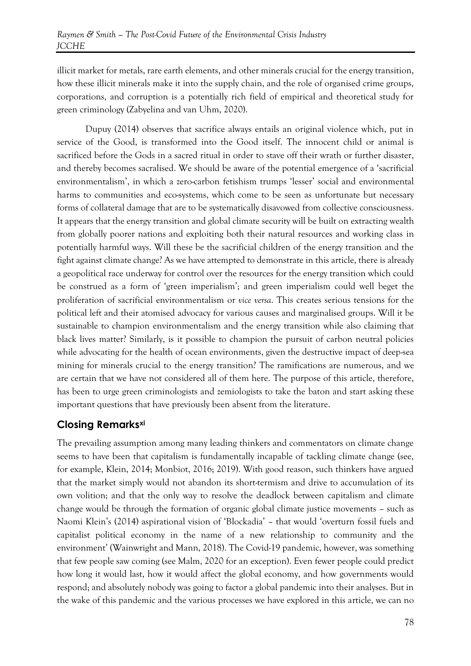illicit market for metals, rare earth elements, and other minerals crucial for the energy transition, how these illicit minerals make it into the supply chain, and the role of organised crime groups, corporations, and corruption is a potentially rich field of empirical and theoretical study for green criminology (Zabyelina and van Uhm, 2020).

Dupuy (2014) observes that sacrifice always entails an original violence which, put in service of the Good, is transformed into the Good itself. The innocent child or animal is sacrificed before the Gods in a sacred ritual in order to stave off their wrath or further disaster, and thereby becomes sacralised. We should be aware of the potential emergence of a 'sacrificial environmentalism', in which a zero-carbon fetishism trumps 'lesser' social and environmental harms to communities and eco-systems, which come to be seen as unfortunate but necessary forms of collateral damage that are to be systematically disavowed from collective consciousness. It appears that the energy transition and global climate security will be built on extracting wealth from globally poorer nations and exploiting both their natural resources and working class in potentially harmful ways. Will these be the sacrificial children of the energy transition and the fight against climate change? As we have attempted to demonstrate in this article, there is already a geopolitical race underway for control over the resources for the energy transition which could be construed as a form of 'green imperialism'; and green imperialism could well beget the proliferation of sacrificial environmentalism or *vice versa*. This creates serious tensions for the political left and their atomised advocacy for various causes and marginalised groups. Will it be sustainable to champion environmentalism and the energy transition while also claiming that black lives matter? Similarly, is it possible to champion the pursuit of carbon neutral policies while advocating for the health of ocean environments, given the destructive impact of deep-sea mining for minerals crucial to the energy transition? The ramifications are numerous, and we are certain that we have not considered all of them here. The purpose of this article, therefore, has been to urge green criminologists and zemiologists to take the baton and start asking these important questions that have previously been absent from the literature.

## **Closing Remarksxi**

The prevailing assumption among many leading thinkers and commentators on climate change seems to have been that capitalism is fundamentally incapable of tackling climate change (see, for example, Klein, 2014; Monbiot, 2016; 2019). With good reason, such thinkers have argued that the market simply would not abandon its short-termism and drive to accumulation of its own volition; and that the only way to resolve the deadlock between capitalism and climate change would be through the formation of organic global climate justice movements – such as Naomi Klein's (2014) aspirational vision of 'Blockadia' – that would 'overturn fossil fuels and capitalist political economy in the name of a new relationship to community and the environment' (Wainwright and Mann, 2018). The Covid-19 pandemic, however, was something that few people saw coming (see Malm, 2020 for an exception). Even fewer people could predict how long it would last, how it would affect the global economy, and how governments would respond; and absolutely nobody was going to factor a global pandemic into their analyses. But in the wake of this pandemic and the various processes we have explored in this article, we can no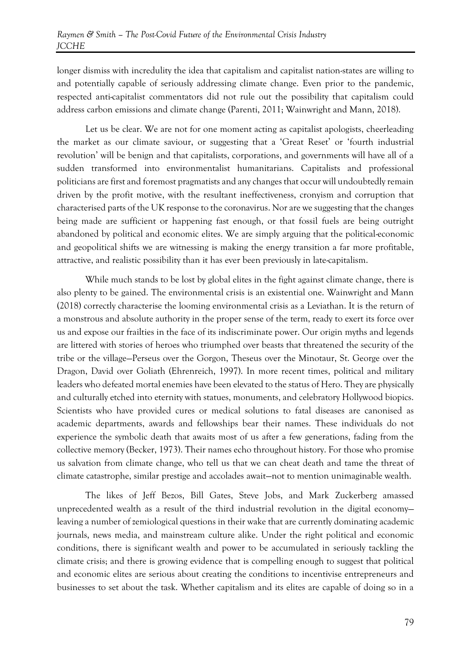longer dismiss with incredulity the idea that capitalism and capitalist nation-states are willing to and potentially capable of seriously addressing climate change. Even prior to the pandemic, respected anti-capitalist commentators did not rule out the possibility that capitalism could address carbon emissions and climate change (Parenti, 2011; Wainwright and Mann, 2018).

Let us be clear. We are not for one moment acting as capitalist apologists, cheerleading the market as our climate saviour, or suggesting that a 'Great Reset' or 'fourth industrial revolution' will be benign and that capitalists, corporations, and governments will have all of a sudden transformed into environmentalist humanitarians. Capitalists and professional politicians are first and foremost pragmatists and any changes that occur will undoubtedly remain driven by the profit motive, with the resultant ineffectiveness, cronyism and corruption that characterised parts of the UK response to the coronavirus. Nor are we suggesting that the changes being made are sufficient or happening fast enough, or that fossil fuels are being outright abandoned by political and economic elites. We are simply arguing that the political-economic and geopolitical shifts we are witnessing is making the energy transition a far more profitable, attractive, and realistic possibility than it has ever been previously in late-capitalism.

While much stands to be lost by global elites in the fight against climate change, there is also plenty to be gained. The environmental crisis is an existential one. Wainwright and Mann (2018) correctly characterise the looming environmental crisis as a Leviathan. It is the return of a monstrous and absolute authority in the proper sense of the term, ready to exert its force over us and expose our frailties in the face of its indiscriminate power. Our origin myths and legends are littered with stories of heroes who triumphed over beasts that threatened the security of the tribe or the village—Perseus over the Gorgon, Theseus over the Minotaur, St. George over the Dragon, David over Goliath (Ehrenreich, 1997). In more recent times, political and military leaders who defeated mortal enemies have been elevated to the status of Hero. They are physically and culturally etched into eternity with statues, monuments, and celebratory Hollywood biopics. Scientists who have provided cures or medical solutions to fatal diseases are canonised as academic departments, awards and fellowships bear their names. These individuals do not experience the symbolic death that awaits most of us after a few generations, fading from the collective memory (Becker, 1973). Their names echo throughout history. For those who promise us salvation from climate change, who tell us that we can cheat death and tame the threat of climate catastrophe, similar prestige and accolades await—not to mention unimaginable wealth.

The likes of Jeff Bezos, Bill Gates, Steve Jobs, and Mark Zuckerberg amassed unprecedented wealth as a result of the third industrial revolution in the digital economy leaving a number of zemiological questions in their wake that are currently dominating academic journals, news media, and mainstream culture alike. Under the right political and economic conditions, there is significant wealth and power to be accumulated in seriously tackling the climate crisis; and there is growing evidence that is compelling enough to suggest that political and economic elites are serious about creating the conditions to incentivise entrepreneurs and businesses to set about the task. Whether capitalism and its elites are capable of doing so in a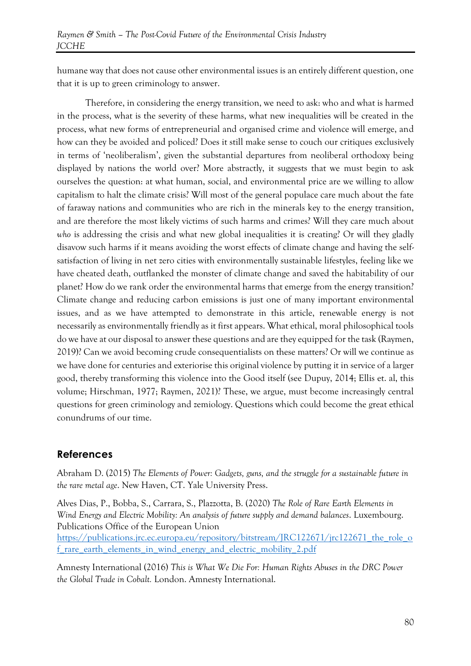humane way that does not cause other environmental issues is an entirely different question, one that it is up to green criminology to answer.

Therefore, in considering the energy transition, we need to ask: who and what is harmed in the process, what is the severity of these harms, what new inequalities will be created in the process, what new forms of entrepreneurial and organised crime and violence will emerge, and how can they be avoided and policed? Does it still make sense to couch our critiques exclusively in terms of 'neoliberalism', given the substantial departures from neoliberal orthodoxy being displayed by nations the world over? More abstractly, it suggests that we must begin to ask ourselves the question: at what human, social, and environmental price are we willing to allow capitalism to halt the climate crisis? Will most of the general populace care much about the fate of faraway nations and communities who are rich in the minerals key to the energy transition, and are therefore the most likely victims of such harms and crimes? Will they care much about *who* is addressing the crisis and what new global inequalities it is creating? Or will they gladly disavow such harms if it means avoiding the worst effects of climate change and having the selfsatisfaction of living in net zero cities with environmentally sustainable lifestyles, feeling like we have cheated death, outflanked the monster of climate change and saved the habitability of our planet? How do we rank order the environmental harms that emerge from the energy transition? Climate change and reducing carbon emissions is just one of many important environmental issues, and as we have attempted to demonstrate in this article, renewable energy is not necessarily as environmentally friendly as it first appears. What ethical, moral philosophical tools do we have at our disposal to answer these questions and are they equipped for the task (Raymen, 2019)? Can we avoid becoming crude consequentialists on these matters? Or will we continue as we have done for centuries and exteriorise this original violence by putting it in service of a larger good, thereby transforming this violence into the Good itself (see Dupuy, 2014; Ellis et. al, this volume; Hirschman, 1977; Raymen, 2021)? These, we argue, must become increasingly central questions for green criminology and zemiology. Questions which could become the great ethical conundrums of our time.

#### **References**

Abraham D. (2015) *The Elements of Power: Gadgets, guns, and the struggle for a sustainable future in the rare metal age*. New Haven, CT. Yale University Press.

Alves Dias, P., Bobba, S., Carrara, S., Plazzotta, B. (2020) *The Role of Rare Earth Elements in Wind Energy and Electric Mobility: An analysis of future supply and demand balances*. Luxembourg. Publications Office of the European Union [https://publications.jrc.ec.europa.eu/repository/bitstream/JRC122671/jrc122671\\_the\\_role\\_o](https://publications.jrc.ec.europa.eu/repository/bitstream/JRC122671/jrc122671_the_role_of_rare_earth_elements_in_wind_energy_and_electric_mobility_2.pdf) [f\\_rare\\_earth\\_elements\\_in\\_wind\\_energy\\_and\\_electric\\_mobility\\_2.pdf](https://publications.jrc.ec.europa.eu/repository/bitstream/JRC122671/jrc122671_the_role_of_rare_earth_elements_in_wind_energy_and_electric_mobility_2.pdf)

Amnesty International (2016) *This is What We Die For: Human Rights Abuses in the DRC Power the Global Trade in Cobalt.* London. Amnesty International.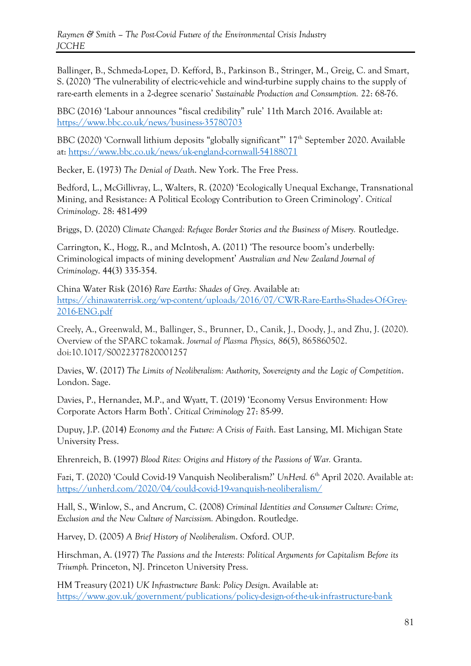Ballinger, B., Schmeda-Lopez, D. Kefford, B., Parkinson B., Stringer, M., Greig, C. and Smart, S. (2020) 'The vulnerability of electric-vehicle and wind-turbine supply chains to the supply of rare-earth elements in a 2-degree scenario' *Sustainable Production and Consumption.* 22: 68-76.

BBC (2016) 'Labour announces "fiscal credibility" rule' 11th March 2016. Available at: <https://www.bbc.co.uk/news/business-35780703>

BBC (2020) 'Cornwall lithium deposits "globally significant"' 17th September 2020. Available at:<https://www.bbc.co.uk/news/uk-england-cornwall-54188071>

Becker, E. (1973) *The Denial of Death*. New York. The Free Press.

Bedford, L., McGillivray, L., Walters, R. (2020) 'Ecologically Unequal Exchange, Transnational Mining, and Resistance: A Political Ecology Contribution to Green Criminology'. *Critical Criminology*. 28: 481-499

Briggs, D. (2020) *Climate Changed: Refugee Border Stories and the Business of Misery.* Routledge.

Carrington, K., Hogg, R., and McIntosh, A. (2011) 'The resource boom's underbelly: Criminological impacts of mining development' *Australian and New Zealand Journal of Criminology*. 44(3) 335-354.

China Water Risk (2016) *Rare Earths: Shades of Grey.* Available at: [https://chinawaterrisk.org/wp-content/uploads/2016/07/CWR-Rare-Earths-Shades-Of-Grey-](https://chinawaterrisk.org/wp-content/uploads/2016/07/CWR-Rare-Earths-Shades-Of-Grey-2016-ENG.pdf)[2016-ENG.pdf](https://chinawaterrisk.org/wp-content/uploads/2016/07/CWR-Rare-Earths-Shades-Of-Grey-2016-ENG.pdf)

Creely, A., Greenwald, M., Ballinger, S., Brunner, D., Canik, J., Doody, J., and Zhu, J. (2020). Overview of the SPARC tokamak. *Journal of Plasma Physics, 86*(5), 865860502. doi:10.1017/S0022377820001257

Davies, W. (2017) *The Limits of Neoliberalism: Authority, Sovereignty and the Logic of Competition*. London. Sage.

Davies, P., Hernandez, M.P., and Wyatt, T. (2019) 'Economy Versus Environment: How Corporate Actors Harm Both'. *Critical Criminology* 27: 85-99.

Dupuy, J.P. (2014) *Economy and the Future: A Crisis of Faith*. East Lansing, MI. Michigan State University Press.

Ehrenreich, B. (1997) *Blood Rites: Origins and History of the Passions of War.* Granta.

Fazi, T. (2020) 'Could Covid-19 Vanquish Neoliberalism?' *UnHerd.* 6 th April 2020. Available at: <https://unherd.com/2020/04/could-covid-19-vanquish-neoliberalism/>

Hall, S., Winlow, S., and Ancrum, C. (2008) *Criminal Identities and Consumer Culture*: *Crime, Exclusion and the New Culture of Narcissism.* Abingdon. Routledge.

Harvey, D. (2005) *A Brief History of Neoliberalism*. Oxford. OUP.

Hirschman, A. (1977) *The Passions and the Interests: Political Arguments for Capitalism Before its Triumph.* Princeton, NJ. Princeton University Press.

HM Treasury (2021) *UK Infrastructure Bank: Policy Design*. Available at: <https://www.gov.uk/government/publications/policy-design-of-the-uk-infrastructure-bank>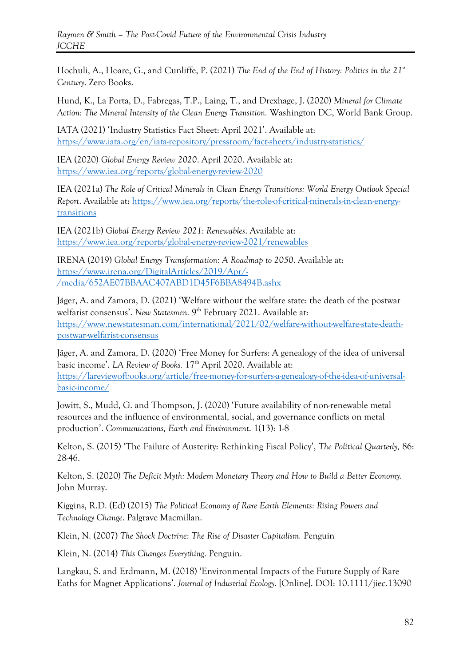Hochuli, A., Hoare, G., and Cunliffe, P. (2021) *The End of the End of History: Politics in the 21st Century*. Zero Books.

Hund, K., La Porta, D., Fabregas, T.P., Laing, T., and Drexhage, J. (2020) *Mineral for Climate Action: The Mineral Intensity of the Clean Energy Transition.* Washington DC, World Bank Group.

IATA (2021) 'Industry Statistics Fact Sheet: April 2021'. Available at: <https://www.iata.org/en/iata-repository/pressroom/fact-sheets/industry-statistics/>

IEA (2020) *Global Energy Review 2020*. April 2020. Available at: <https://www.iea.org/reports/global-energy-review-2020>

IEA (2021a) *The Role of Critical Minerals in Clean Energy Transitions: World Energy Outlook Special Report*. Available at: [https://www.iea.org/reports/the-role-of-critical-minerals-in-clean-energy](https://www.iea.org/reports/the-role-of-critical-minerals-in-clean-energy-transitions)[transitions](https://www.iea.org/reports/the-role-of-critical-minerals-in-clean-energy-transitions)

IEA (2021b) *Global Energy Review 2021: Renewables*. Available at: <https://www.iea.org/reports/global-energy-review-2021/renewables>

IRENA (2019) *Global Energy Transformation: A Roadmap to 2050*. Available at: [https://www.irena.org/DigitalArticles/2019/Apr/-](https://www.irena.org/DigitalArticles/2019/Apr/-/media/652AE07BBAAC407ABD1D45F6BBA8494B.ashx) [/media/652AE07BBAAC407ABD1D45F6BBA8494B.ashx](https://www.irena.org/DigitalArticles/2019/Apr/-/media/652AE07BBAAC407ABD1D45F6BBA8494B.ashx)

Jäger, A. and Zamora, D. (2021) 'Welfare without the welfare state: the death of the postwar welfarist consensus'. *New Statesmen.* 9<sup>th</sup> February 2021. Available at: [https://www.newstatesman.com/international/2021/02/welfare-without-welfare-state-death](https://www.newstatesman.com/international/2021/02/welfare-without-welfare-state-death-postwar-welfarist-consensus)[postwar-welfarist-consensus](https://www.newstatesman.com/international/2021/02/welfare-without-welfare-state-death-postwar-welfarist-consensus)

Jäger, A. and Zamora, D. (2020) 'Free Money for Surfers: A genealogy of the idea of universal basic income'. *LA Review of Books.* 17<sup>th</sup> April 2020. Available at: [https://lareviewofbooks.org/article/free-money-for-surfers-a-genealogy-of-the-idea-of-universal](https://lareviewofbooks.org/article/free-money-for-surfers-a-genealogy-of-the-idea-of-universal-basic-income/)[basic-income/](https://lareviewofbooks.org/article/free-money-for-surfers-a-genealogy-of-the-idea-of-universal-basic-income/)

Jowitt, S., Mudd, G. and Thompson, J. (2020) 'Future availability of non-renewable metal resources and the influence of environmental, social, and governance conflicts on metal production'. *Communications, Earth and Environment*. 1(13): 1-8

Kelton, S. (2015) 'The Failure of Austerity: Rethinking Fiscal Policy', *The Political Quarterly,* 86: 28-46.

Kelton, S. (2020) *The Deficit Myth: Modern Monetary Theory and How to Build a Better Economy.*  John Murray.

Kiggins, R.D. (Ed) (2015) *The Political Economy of Rare Earth Elements: Rising Powers and Technology Change*. Palgrave Macmillan.

Klein, N. (2007) *The Shock Doctrine: The Rise of Disaster Capitalism.* Penguin

Klein, N. (2014) *This Changes Everything*. Penguin.

Langkau, S. and Erdmann, M. (2018) 'Environmental Impacts of the Future Supply of Rare Eaths for Magnet Applications'. *Journal of Industrial Ecology.* [Online]. DOI: 10.1111/jiec.13090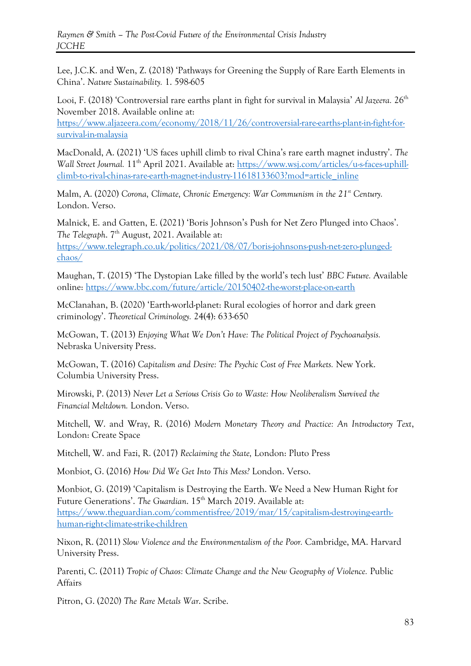Lee, J.C.K. and Wen, Z. (2018) 'Pathways for Greening the Supply of Rare Earth Elements in China'. *Nature Sustainability.* 1. 598-605

Looi, F. (2018) 'Controversial rare earths plant in fight for survival in Malaysia' *Al Jazeera*. 26<sup>th</sup> November 2018. Available online at:

[https://www.aljazeera.com/economy/2018/11/26/controversial-rare-earths-plant-in-fight-for](https://www.aljazeera.com/economy/2018/11/26/controversial-rare-earths-plant-in-fight-for-survival-in-malaysia)[survival-in-malaysia](https://www.aljazeera.com/economy/2018/11/26/controversial-rare-earths-plant-in-fight-for-survival-in-malaysia)

MacDonald, A. (2021) 'US faces uphill climb to rival China's rare earth magnet industry'. *The Wall Street Journal.* 11<sup>th</sup> April 2021. Available at: [https://www.wsj.com/articles/u-s-faces-uphill](https://www.wsj.com/articles/u-s-faces-uphill-climb-to-rival-chinas-rare-earth-magnet-industry-11618133603?mod=article_inline)[climb-to-rival-chinas-rare-earth-magnet-industry-11618133603?mod=article\\_inline](https://www.wsj.com/articles/u-s-faces-uphill-climb-to-rival-chinas-rare-earth-magnet-industry-11618133603?mod=article_inline)

Malm, A. (2020) *Corona, Climate, Chronic Emergency: War Communism in the 21st Century.*  London. Verso.

Malnick, E. and Gatten, E. (2021) 'Boris Johnson's Push for Net Zero Plunged into Chaos'. The Telegraph. 7<sup>th</sup> August, 2021. Available at: [https://www.telegraph.co.uk/politics/2021/08/07/boris-johnsons-push-net-zero-plunged](https://www.telegraph.co.uk/politics/2021/08/07/boris-johnsons-push-net-zero-plunged-chaos/)[chaos/](https://www.telegraph.co.uk/politics/2021/08/07/boris-johnsons-push-net-zero-plunged-chaos/)

Maughan, T. (2015) 'The Dystopian Lake filled by the world's tech lust' *BBC Future.* Available online:<https://www.bbc.com/future/article/20150402-the-worst-place-on-earth>

McClanahan, B. (2020) 'Earth-world-planet: Rural ecologies of horror and dark green criminology'. *Theoretical Criminology.* 24(4): 633-650

McGowan, T. (2013) *Enjoying What We Don't Have: The Political Project of Psychoanalysis.*  Nebraska University Press.

McGowan, T. (2016) *Capitalism and Desire: The Psychic Cost of Free Markets.* New York. Columbia University Press.

Mirowski, P. (2013) *Never Let a Serious Crisis Go to Waste: How Neoliberalism Survived the Financial Meltdown.* London. Verso.

Mitchell, W. and Wray, R. (2016) *Modern Monetary Theory and Practice: An Introductory Text*, London: Create Space

Mitchell, W. and Fazi, R. (2017) *Reclaiming the State,* London: Pluto Press

Monbiot, G. (2016) *How Did We Get Into This Mess?* London. Verso.

Monbiot, G. (2019) 'Capitalism is Destroying the Earth. We Need a New Human Right for Future Generations'. *The Guardian*. 15<sup>th</sup> March 2019. Available at: [https://www.theguardian.com/commentisfree/2019/mar/15/capitalism-destroying-earth](https://www.theguardian.com/commentisfree/2019/mar/15/capitalism-destroying-earth-human-right-climate-strike-children)[human-right-climate-strike-children](https://www.theguardian.com/commentisfree/2019/mar/15/capitalism-destroying-earth-human-right-climate-strike-children)

Nixon, R. (2011) *Slow Violence and the Environmentalism of the Poor.* Cambridge, MA. Harvard University Press.

Parenti, C. (2011) *Tropic of Chaos: Climate Change and the New Geography of Violence.* Public Affairs

Pitron, G. (2020) *The Rare Metals War*. Scribe.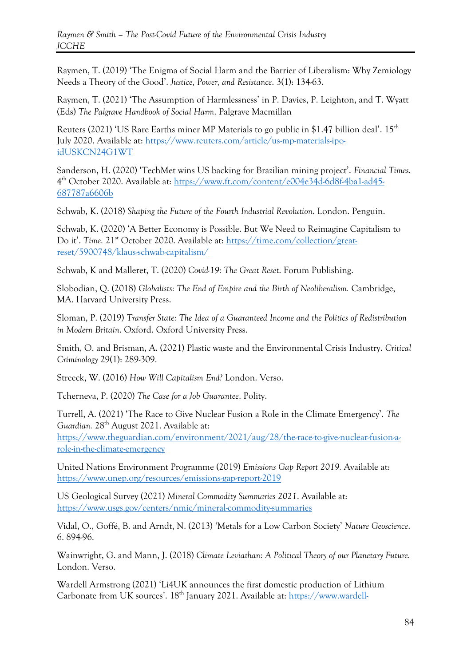Raymen, T. (2019) 'The Enigma of Social Harm and the Barrier of Liberalism: Why Zemiology Needs a Theory of the Good'. *Justice, Power, and Resistance*. 3(1): 134-63.

Raymen, T. (2021) 'The Assumption of Harmlessness' in P. Davies, P. Leighton, and T. Wyatt (Eds) *The Palgrave Handbook of Social Harm*. Palgrave Macmillan

Reuters (2021) 'US Rare Earths miner MP Materials to go public in \$1.47 billion deal'.  $15<sup>th</sup>$ July 2020. Available at: [https://www.reuters.com/article/us-mp-materials-ipo](https://www.reuters.com/article/us-mp-materials-ipo-idUSKCN24G1WT)[idUSKCN24G1WT](https://www.reuters.com/article/us-mp-materials-ipo-idUSKCN24G1WT)

Sanderson, H. (2020) 'TechMet wins US backing for Brazilian mining project'. *Financial Times.*  4<sup>th</sup> October 2020. Available at: [https://www.ft.com/content/e004e34d-6d8f-4ba1-ad45-](https://www.ft.com/content/e004e34d-6d8f-4ba1-ad45-687787a6606b) [687787a6606b](https://www.ft.com/content/e004e34d-6d8f-4ba1-ad45-687787a6606b)

Schwab, K. (2018) *Shaping the Future of the Fourth Industrial Revolution*. London. Penguin.

Schwab, K. (2020) 'A Better Economy is Possible. But We Need to Reimagine Capitalism to Do it'. *Time.* 21<sup>st</sup> October 2020. Available at: [https://time.com/collection/great](https://time.com/collection/great-reset/5900748/klaus-schwab-capitalism/)[reset/5900748/klaus-schwab-capitalism/](https://time.com/collection/great-reset/5900748/klaus-schwab-capitalism/)

Schwab, K and Malleret, T. (2020) *Covid-19: The Great Reset*. Forum Publishing.

Slobodian, Q. (2018) *Globalists: The End of Empire and the Birth of Neoliberalism.* Cambridge, MA. Harvard University Press.

Sloman, P. (2019) *Transfer State: The Idea of a Guaranteed Income and the Politics of Redistribution in Modern Britain*. Oxford. Oxford University Press.

Smith, O. and Brisman, A. (2021) Plastic waste and the Environmental Crisis Industry. *Critical Criminology* 29(1): 289-309.

Streeck, W. (2016) *How Will Capitalism End?* London. Verso.

Tcherneva, P. (2020) *The Case for a Job Guarantee*. Polity.

Turrell, A. (2021) 'The Race to Give Nuclear Fusion a Role in the Climate Emergency'. *The*  Guardian. 28<sup>th</sup> August 2021. Available at:

[https://www.theguardian.com/environment/2021/aug/28/the-race-to-give-nuclear-fusion-a](https://www.theguardian.com/environment/2021/aug/28/the-race-to-give-nuclear-fusion-a-role-in-the-climate-emergency)[role-in-the-climate-emergency](https://www.theguardian.com/environment/2021/aug/28/the-race-to-give-nuclear-fusion-a-role-in-the-climate-emergency)

United Nations Environment Programme (2019) *Emissions Gap Report 2019.* Available at: <https://www.unep.org/resources/emissions-gap-report-2019>

US Geological Survey (2021) *Mineral Commodity Summaries 2021*. Available at: <https://www.usgs.gov/centers/nmic/mineral-commodity-summaries>

Vidal, O., Goffé, B. and Arndt, N. (2013) 'Metals for a Low Carbon Society' *Nature Geoscience*. 6. 894-96.

Wainwright, G. and Mann, J. (2018) *Climate Leviathan: A Political Theory of our Planetary Future.*  London. Verso.

Wardell Armstrong (2021) 'Li4UK announces the first domestic production of Lithium Carbonate from UK sources'. 18<sup>th</sup> January 2021. Available at: [https://www.wardell-](https://www.wardell-armstrong.com/news/li4uk-announces-the-first-domestic-production-of-lithium-carbonate-from-uk-sources/)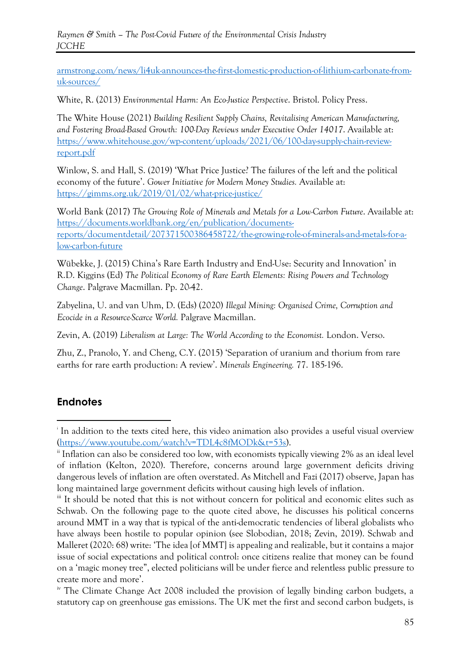*Raymen & Smith – The Post-Covid Future of the Environmental Crisis Industry JCCHE*

[armstrong.com/news/li4uk-announces-the-first-domestic-production-of-lithium-carbonate-from](https://www.wardell-armstrong.com/news/li4uk-announces-the-first-domestic-production-of-lithium-carbonate-from-uk-sources/)[uk-sources/](https://www.wardell-armstrong.com/news/li4uk-announces-the-first-domestic-production-of-lithium-carbonate-from-uk-sources/)

White, R. (2013) *Environmental Harm: An Eco-Justice Perspective*. Bristol. Policy Press.

The White House (2021) *Building Resilient Supply Chains, Revitalising American Manufacturing, and Fostering Broad-Based Growth: 100-Day Reviews under Executive Order 14017*. Available at: [https://www.whitehouse.gov/wp-content/uploads/2021/06/100-day-supply-chain-review](https://www.whitehouse.gov/wp-content/uploads/2021/06/100-day-supply-chain-review-report.pdf)[report.pdf](https://www.whitehouse.gov/wp-content/uploads/2021/06/100-day-supply-chain-review-report.pdf)

Winlow, S. and Hall, S. (2019) 'What Price Justice? The failures of the left and the political economy of the future'. *Gower Initiative for Modern Money Studies.* Available at: <https://gimms.org.uk/2019/01/02/what-price-justice/>

World Bank (2017) *The Growing Role of Minerals and Metals for a Low-Carbon Future*. Available at: [https://documents.worldbank.org/en/publication/documents](https://documents.worldbank.org/en/publication/documents-reports/documentdetail/207371500386458722/the-growing-role-of-minerals-and-metals-for-a-low-carbon-future)[reports/documentdetail/207371500386458722/the-growing-role-of-minerals-and-metals-for-a](https://documents.worldbank.org/en/publication/documents-reports/documentdetail/207371500386458722/the-growing-role-of-minerals-and-metals-for-a-low-carbon-future)[low-carbon-future](https://documents.worldbank.org/en/publication/documents-reports/documentdetail/207371500386458722/the-growing-role-of-minerals-and-metals-for-a-low-carbon-future)

Wübekke, J. (2015) China's Rare Earth Industry and End-Use: Security and Innovation' in R.D. Kiggins (Ed) *The Political Economy of Rare Earth Elements: Rising Powers and Technology Change*. Palgrave Macmillan. Pp. 20-42.

Zabyelina, U. and van Uhm, D. (Eds) (2020) *Illegal Mining: Organised Crime, Corruption and Ecocide in a Resource-Scarce World.* Palgrave Macmillan.

Zevin, A. (2019) *Liberalism at Large: The World According to the Economist.* London. Verso.

Zhu, Z., Pranolo, Y. and Cheng, C.Y. (2015) 'Separation of uranium and thorium from rare earths for rare earth production: A review'. *Minerals Engineering.* 77. 185-196.

## **Endnotes**

i In addition to the texts cited here, this video animation also provides a useful visual overview [\(https://www.youtube.com/watch?v=TDL4c8fMODk&t=53s\)](https://www.youtube.com/watch?v=TDL4c8fMODk&t=53s).

<sup>&</sup>lt;sup>ii</sup> Inflation can also be considered too low, with economists typically viewing 2% as an ideal level of inflation (Kelton, 2020). Therefore, concerns around large government deficits driving dangerous levels of inflation are often overstated. As Mitchell and Fazi (2017) observe, Japan has long maintained large government deficits without causing high levels of inflation.

iii It should be noted that this is not without concern for political and economic elites such as Schwab. On the following page to the quote cited above, he discusses his political concerns around MMT in a way that is typical of the anti-democratic tendencies of liberal globalists who have always been hostile to popular opinion (see Slobodian, 2018; Zevin, 2019). Schwab and Malleret (2020: 68) write: 'The idea [of MMT] is appealing and realizable, but it contains a major issue of social expectations and political control: once citizens realize that money can be found on a 'magic money tree", elected politicians will be under fierce and relentless public pressure to create more and more'.

<sup>&</sup>lt;sup>iv</sup> The Climate Change Act 2008 included the provision of legally binding carbon budgets, a statutory cap on greenhouse gas emissions. The UK met the first and second carbon budgets, is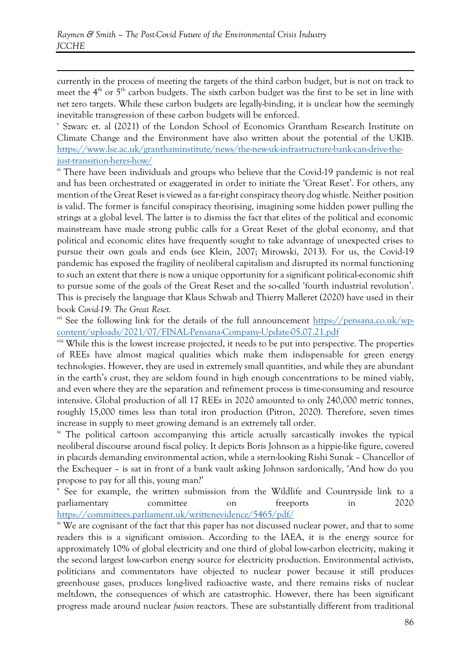currently in the process of meeting the targets of the third carbon budget, but is not on track to meet the  $4<sup>th</sup>$  or  $5<sup>th</sup>$  carbon budgets. The sixth carbon budget was the first to be set in line with net zero targets. While these carbon budgets are legally-binding, it is unclear how the seemingly inevitable transgression of these carbon budgets will be enforced.

v Szwarc et. al (2021) of the London School of Economics Grantham Research Institute on Climate Change and the Environment have also written about the potential of the UKIB. [https://www.lse.ac.uk/granthaminstitute/news/the-new-uk-infrastructure-bank-can-drive-the](https://www.lse.ac.uk/granthaminstitute/news/the-new-uk-infrastructure-bank-can-drive-the-just-transition-heres-how/)[just-transition-heres-how/](https://www.lse.ac.uk/granthaminstitute/news/the-new-uk-infrastructure-bank-can-drive-the-just-transition-heres-how/)

<sup>vi</sup> There have been individuals and groups who believe that the Covid-19 pandemic is not real and has been orchestrated or exaggerated in order to initiate the 'Great Reset'. For others, any mention of the Great Reset is viewed as a far-right conspiracy theory dog whistle. Neither position is valid. The former is fanciful conspiracy theorising, imagining some hidden power pulling the strings at a global level. The latter is to dismiss the fact that elites of the political and economic mainstream have made strong public calls for a Great Reset of the global economy, and that political and economic elites have frequently sought to take advantage of unexpected crises to pursue their own goals and ends (see Klein, 2007; Mirowski, 2013). For us, the Covid-19 pandemic has exposed the fragility of neoliberal capitalism and disrupted its normal functioning to such an extent that there is now a unique opportunity for a significant political-economic shift to pursue some of the goals of the Great Reset and the so-called 'fourth industrial revolution'. This is precisely the language that Klaus Schwab and Thierry Malleret (2020) have used in their book *Covid-19: The Great Reset.* 

vii See the following link for the details of the full announcement [https://pensana.co.uk/wp](https://pensana.co.uk/wp-content/uploads/2021/07/FINAL-Pensana-Company-Update-05.07.21.pdf)[content/uploads/2021/07/FINAL-Pensana-Company-Update-05.07.21.pdf](https://pensana.co.uk/wp-content/uploads/2021/07/FINAL-Pensana-Company-Update-05.07.21.pdf)

viii While this is the lowest increase projected, it needs to be put into perspective. The properties of REEs have almost magical qualities which make them indispensable for green energy technologies. However, they are used in extremely small quantities, and while they are abundant in the earth's crust, they are seldom found in high enough concentrations to be mined viably, and even where they are the separation and refinement process is time-consuming and resource intensive. Global production of all 17 REEs in 2020 amounted to only 240,000 metric tonnes, roughly 15,000 times less than total iron production (Pitron, 2020). Therefore, seven times increase in supply to meet growing demand is an extremely tall order.

<sup>ix</sup> The political cartoon accompanying this article actually sarcastically invokes the typical neoliberal discourse around fiscal policy. It depicts Boris Johnson as a hippie-like figure, covered in placards demanding environmental action, while a stern-looking Rishi Sunak – Chancellor of the Exchequer – is sat in front of a bank vault asking Johnson sardonically, 'And how do you propose to pay for all this, young man?'

x See for example, the written submission from the Wildlife and Countryside link to a parliamentary committee on freeports in 2020 <https://committees.parliament.uk/writtenevidence/5465/pdf/>

<sup>xi</sup> We are cognisant of the fact that this paper has not discussed nuclear power, and that to some readers this is a significant omission. According to the IAEA, it is the energy source for approximately 10% of global electricity and one third of global low-carbon electricity, making it the second largest low-carbon energy source for electricity production. Environmental activists, politicians and commentators have objected to nuclear power because it still produces greenhouse gases, produces long-lived radioactive waste, and there remains risks of nuclear meltdown, the consequences of which are catastrophic. However, there has been significant progress made around nuclear *fusion* reactors. These are substantially different from traditional